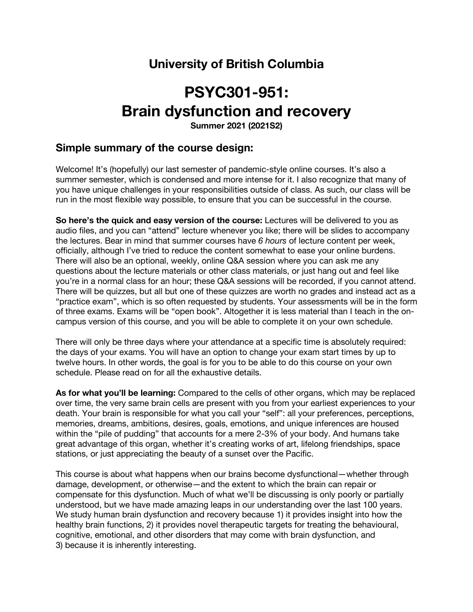## **University of British Columbia**

# **PSYC301-951: Brain dysfunction and recovery**

**Summer 2021 (2021S2)**

## **Simple summary of the course design:**

Welcome! It's (hopefully) our last semester of pandemic-style online courses. It's also a summer semester, which is condensed and more intense for it. I also recognize that many of you have unique challenges in your responsibilities outside of class. As such, our class will be run in the most flexible way possible, to ensure that you can be successful in the course.

**So here's the quick and easy version of the course:** Lectures will be delivered to you as audio files, and you can "attend" lecture whenever you like; there will be slides to accompany the lectures. Bear in mind that summer courses have *6 hours* of lecture content per week, officially, although I've tried to reduce the content somewhat to ease your online burdens. There will also be an optional, weekly, online Q&A session where you can ask me any questions about the lecture materials or other class materials, or just hang out and feel like you're in a normal class for an hour; these Q&A sessions will be recorded, if you cannot attend. There will be quizzes, but all but one of these quizzes are worth no grades and instead act as a "practice exam", which is so often requested by students. Your assessments will be in the form of three exams. Exams will be "open book". Altogether it is less material than I teach in the oncampus version of this course, and you will be able to complete it on your own schedule.

There will only be three days where your attendance at a specific time is absolutely required: the days of your exams. You will have an option to change your exam start times by up to twelve hours. In other words, the goal is for you to be able to do this course on your own schedule. Please read on for all the exhaustive details.

**As for what you'll be learning:** Compared to the cells of other organs, which may be replaced over time, the very same brain cells are present with you from your earliest experiences to your death. Your brain is responsible for what you call your "self": all your preferences, perceptions, memories, dreams, ambitions, desires, goals, emotions, and unique inferences are housed within the "pile of pudding" that accounts for a mere 2-3% of your body. And humans take great advantage of this organ, whether it's creating works of art, lifelong friendships, space stations, or just appreciating the beauty of a sunset over the Pacific.

This course is about what happens when our brains become dysfunctional—whether through damage, development, or otherwise—and the extent to which the brain can repair or compensate for this dysfunction. Much of what we'll be discussing is only poorly or partially understood, but we have made amazing leaps in our understanding over the last 100 years. We study human brain dysfunction and recovery because 1) it provides insight into how the healthy brain functions, 2) it provides novel therapeutic targets for treating the behavioural, cognitive, emotional, and other disorders that may come with brain dysfunction, and 3) because it is inherently interesting.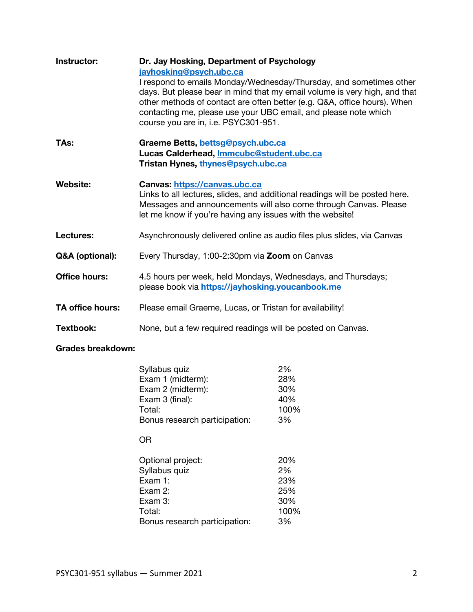| Instructor:             | Dr. Jay Hosking, Department of Psychology<br>jayhosking@psych.ubc.ca<br>I respond to emails Monday/Wednesday/Thursday, and sometimes other<br>days. But please bear in mind that my email volume is very high, and that<br>other methods of contact are often better (e.g. Q&A, office hours). When<br>contacting me, please use your UBC email, and please note which<br>course you are in, i.e. PSYC301-951. |
|-------------------------|----------------------------------------------------------------------------------------------------------------------------------------------------------------------------------------------------------------------------------------------------------------------------------------------------------------------------------------------------------------------------------------------------------------|
| TAs:                    | Graeme Betts, bettsg@psych.ubc.ca<br>Lucas Calderhead, Immcubc@student.ubc.ca<br>Tristan Hynes, thynes@psych.ubc.ca                                                                                                                                                                                                                                                                                            |
| <b>Website:</b>         | Canvas: https://canvas.ubc.ca<br>Links to all lectures, slides, and additional readings will be posted here.<br>Messages and announcements will also come through Canvas. Please<br>let me know if you're having any issues with the website!                                                                                                                                                                  |
| Lectures:               | Asynchronously delivered online as audio files plus slides, via Canvas                                                                                                                                                                                                                                                                                                                                         |
| Q&A (optional):         | Every Thursday, 1:00-2:30pm via Zoom on Canvas                                                                                                                                                                                                                                                                                                                                                                 |
| <b>Office hours:</b>    | 4.5 hours per week, held Mondays, Wednesdays, and Thursdays;<br>please book via https://jayhosking.youcanbook.me                                                                                                                                                                                                                                                                                               |
| <b>TA office hours:</b> | Please email Graeme, Lucas, or Tristan for availability!                                                                                                                                                                                                                                                                                                                                                       |
| Textbook:               | None, but a few required readings will be posted on Canvas.                                                                                                                                                                                                                                                                                                                                                    |

## **Grades breakdown:**

| Syllabus quiz                 | 2%   |
|-------------------------------|------|
| Exam 1 (midterm):             | 28%  |
| Exam 2 (midterm):             | 30%  |
| Exam 3 (final):               | 40%  |
| Total:                        | 100% |
| Bonus research participation: | 3%   |
| OΒ                            |      |
| Optional project:             | 20%  |
| Syllabus quiz                 | 2%   |
| Exam 1:                       | 23%  |
| Exam 2:                       | 25%  |
| Exam 3:                       | 30%  |
| Total:                        | 100% |
| Bonus research participation: | 3%   |
|                               |      |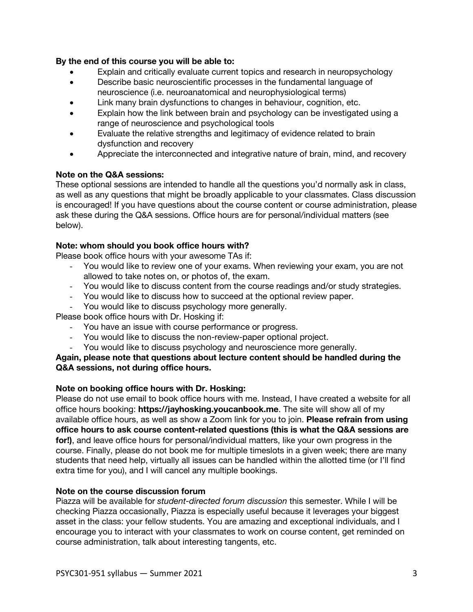## **By the end of this course you will be able to:**

- Explain and critically evaluate current topics and research in neuropsychology
- Describe basic neuroscientific processes in the fundamental language of neuroscience (i.e. neuroanatomical and neurophysiological terms)
- Link many brain dysfunctions to changes in behaviour, cognition, etc.
- Explain how the link between brain and psychology can be investigated using a range of neuroscience and psychological tools
- Evaluate the relative strengths and legitimacy of evidence related to brain dysfunction and recovery
- Appreciate the interconnected and integrative nature of brain, mind, and recovery

## **Note on the Q&A sessions:**

These optional sessions are intended to handle all the questions you'd normally ask in class, as well as any questions that might be broadly applicable to your classmates. Class discussion is encouraged! If you have questions about the course content or course administration, please ask these during the Q&A sessions. Office hours are for personal/individual matters (see below).

### **Note: whom should you book office hours with?**

Please book office hours with your awesome TAs if:

- You would like to review one of your exams. When reviewing your exam, you are not allowed to take notes on, or photos of, the exam.
- You would like to discuss content from the course readings and/or study strategies.
- You would like to discuss how to succeed at the optional review paper.
- You would like to discuss psychology more generally.

Please book office hours with Dr. Hosking if:

- You have an issue with course performance or progress.
- You would like to discuss the non-review-paper optional project.
- You would like to discuss psychology and neuroscience more generally.

**Again, please note that questions about lecture content should be handled during the Q&A sessions, not during office hours.**

## **Note on booking office hours with Dr. Hosking:**

Please do not use email to book office hours with me. Instead, I have created a website for all office hours booking: **https://jayhosking.youcanbook.me**. The site will show all of my available office hours, as well as show a Zoom link for you to join. **Please refrain from using office hours to ask course content-related questions (this is what the Q&A sessions are for!)**, and leave office hours for personal/individual matters, like your own progress in the course. Finally, please do not book me for multiple timeslots in a given week; there are many students that need help, virtually all issues can be handled within the allotted time (or I'll find extra time for you), and I will cancel any multiple bookings.

### **Note on the course discussion forum**

Piazza will be available for *student-directed forum discussion* this semester. While I will be checking Piazza occasionally, Piazza is especially useful because it leverages your biggest asset in the class: your fellow students. You are amazing and exceptional individuals, and I encourage you to interact with your classmates to work on course content, get reminded on course administration, talk about interesting tangents, etc.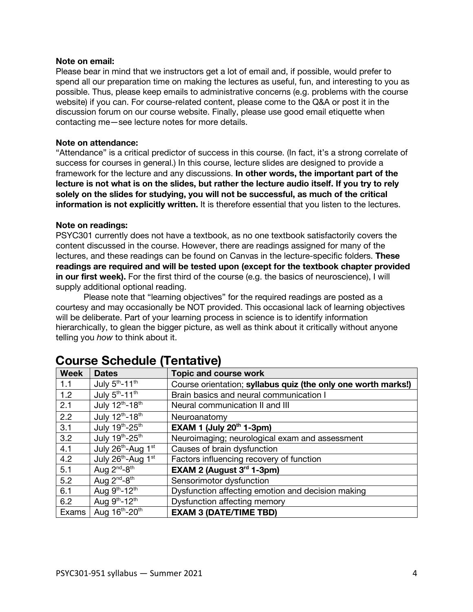### **Note on email:**

Please bear in mind that we instructors get a lot of email and, if possible, would prefer to spend all our preparation time on making the lectures as useful, fun, and interesting to you as possible. Thus, please keep emails to administrative concerns (e.g. problems with the course website) if you can. For course-related content, please come to the Q&A or post it in the discussion forum on our course website. Finally, please use good email etiquette when contacting me—see lecture notes for more details.

### **Note on attendance:**

"Attendance" is a critical predictor of success in this course. (In fact, it's a strong correlate of success for courses in general.) In this course, lecture slides are designed to provide a framework for the lecture and any discussions. **In other words, the important part of the lecture is not what is on the slides, but rather the lecture audio itself. If you try to rely solely on the slides for studying, you will not be successful, as much of the critical information is not explicitly written.** It is therefore essential that you listen to the lectures.

### **Note on readings:**

PSYC301 currently does not have a textbook, as no one textbook satisfactorily covers the content discussed in the course. However, there are readings assigned for many of the lectures, and these readings can be found on Canvas in the lecture-specific folders. **These readings are required and will be tested upon (except for the textbook chapter provided in our first week).** For the first third of the course (e.g. the basics of neuroscience), I will supply additional optional reading.

Please note that "learning objectives" for the required readings are posted as a courtesy and may occasionally be NOT provided. This occasional lack of learning objectives will be deliberate. Part of your learning process in science is to identify information hierarchically, to glean the bigger picture, as well as think about it critically without anyone telling you *how* to think about it.

| <b>Week</b> | <b>Dates</b>                               | <b>Topic and course work</b>                                  |
|-------------|--------------------------------------------|---------------------------------------------------------------|
| 1.1         | July $5th - 11th$                          | Course orientation; syllabus quiz (the only one worth marks!) |
| 1.2         | July $5th - 11th$                          | Brain basics and neural communication I                       |
| 2.1         | July 12th-18th                             | Neural communication II and III                               |
| 2.2         | July 12th-18th                             | Neuroanatomy                                                  |
| 3.1         | July 19th-25th                             | EXAM 1 (July $20th$ 1-3pm)                                    |
| 3.2         | July 19th-25th                             | Neuroimaging; neurological exam and assessment                |
| 4.1         | July 26th-Aug 1st                          | Causes of brain dysfunction                                   |
| 4.2         | July 26 <sup>th</sup> -Aug 1 <sup>st</sup> | Factors influencing recovery of function                      |
| 5.1         | Aug $2^{nd} - 8^{th}$                      | EXAM 2 (August $3rd$ 1-3pm)                                   |
| 5.2         | Aug $2^{nd} - 8^{th}$                      | Sensorimotor dysfunction                                      |
| 6.1         | Aug 9th-12th                               | Dysfunction affecting emotion and decision making             |
| 6.2         | Aug 9th-12th                               | Dysfunction affecting memory                                  |
| Exams       | Aug 16th-20th                              | <b>EXAM 3 (DATE/TIME TBD)</b>                                 |

## **Course Schedule (Tentative)**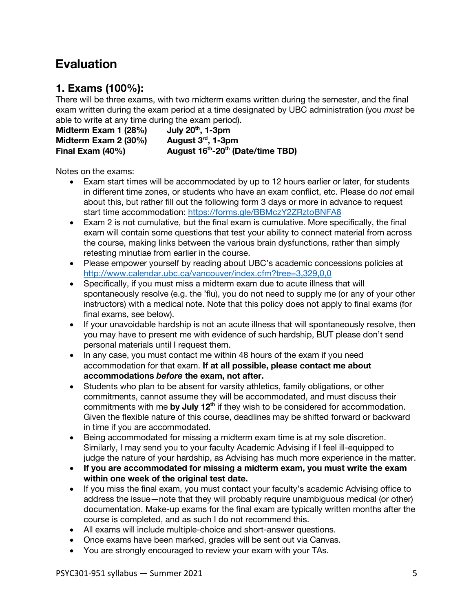## **Evaluation**

## **1. Exams (100%):**

There will be three exams, with two midterm exams written during the semester, and the final exam written during the exam period at a time designated by UBC administration (you *must* be able to write at any time during the exam period).

Midterm Exam 1 (28%) July 20<sup>th</sup>, 1-3pm<br>Midterm Exam 2 (30%) August 3<sup>rd</sup>, 1-3pm **Midterm Exam 2 (30%) Final Exam (40%) August 16<sup>th</sup>-20<sup>th</sup> (Date/time TBD)** 

Notes on the exams:

- Exam start times will be accommodated by up to 12 hours earlier or later, for students in different time zones, or students who have an exam conflict, etc. Please do *not* email about this, but rather fill out the following form 3 days or more in advance to request start time accommodation: https://forms.gle/BBMczY2ZRztoBNFA8
- Exam 2 is not cumulative, but the final exam is cumulative. More specifically, the final exam will contain some questions that test your ability to connect material from across the course, making links between the various brain dysfunctions, rather than simply retesting minutiae from earlier in the course.
- Please empower yourself by reading about UBC's academic concessions policies at http://www.calendar.ubc.ca/vancouver/index.cfm?tree=3,329,0,0
- Specifically, if you must miss a midterm exam due to acute illness that will spontaneously resolve (e.g. the 'flu), you do not need to supply me (or any of your other instructors) with a medical note. Note that this policy does not apply to final exams (for final exams, see below).
- If your unavoidable hardship is not an acute illness that will spontaneously resolve, then you may have to present me with evidence of such hardship, BUT please don't send personal materials until I request them.
- In any case, you must contact me within 48 hours of the exam if you need accommodation for that exam. **If at all possible, please contact me about accommodations** *before* **the exam, not after.**
- Students who plan to be absent for varsity athletics, family obligations, or other commitments, cannot assume they will be accommodated, and must discuss their commitments with me **by July 12th** if they wish to be considered for accommodation. Given the flexible nature of this course, deadlines may be shifted forward or backward in time if you are accommodated.
- Being accommodated for missing a midterm exam time is at my sole discretion. Similarly, I may send you to your faculty Academic Advising if I feel ill-equipped to judge the nature of your hardship, as Advising has much more experience in the matter.
- **If you are accommodated for missing a midterm exam, you must write the exam within one week of the original test date.**
- If you miss the final exam, you must contact your faculty's academic Advising office to address the issue—note that they will probably require unambiguous medical (or other) documentation. Make-up exams for the final exam are typically written months after the course is completed, and as such I do not recommend this.
- All exams will include multiple-choice and short-answer questions.
- Once exams have been marked, grades will be sent out via Canvas.
- You are strongly encouraged to review your exam with your TAs.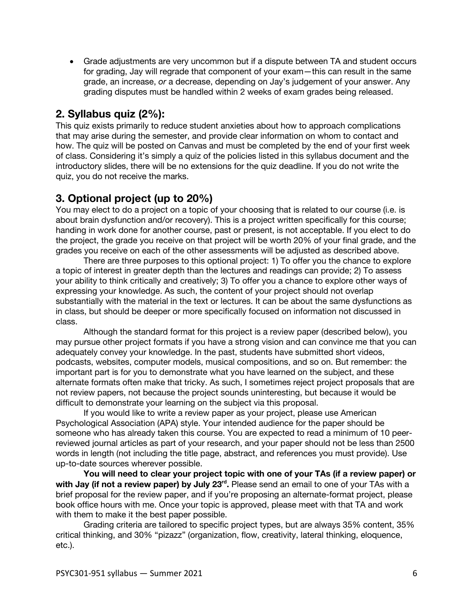• Grade adjustments are very uncommon but if a dispute between TA and student occurs for grading, Jay will regrade that component of your exam—this can result in the same grade, an increase, *or* a decrease, depending on Jay's judgement of your answer. Any grading disputes must be handled within 2 weeks of exam grades being released.

## **2. Syllabus quiz (2%):**

This quiz exists primarily to reduce student anxieties about how to approach complications that may arise during the semester, and provide clear information on whom to contact and how. The quiz will be posted on Canvas and must be completed by the end of your first week of class. Considering it's simply a quiz of the policies listed in this syllabus document and the introductory slides, there will be no extensions for the quiz deadline. If you do not write the quiz, you do not receive the marks.

## **3. Optional project (up to 20%)**

You may elect to do a project on a topic of your choosing that is related to our course (i.e. is about brain dysfunction and/or recovery). This is a project written specifically for this course; handing in work done for another course, past or present, is not acceptable. If you elect to do the project, the grade you receive on that project will be worth 20% of your final grade, and the grades you receive on each of the other assessments will be adjusted as described above.

There are three purposes to this optional project: 1) To offer you the chance to explore a topic of interest in greater depth than the lectures and readings can provide; 2) To assess your ability to think critically and creatively; 3) To offer you a chance to explore other ways of expressing your knowledge. As such, the content of your project should not overlap substantially with the material in the text or lectures. It can be about the same dysfunctions as in class, but should be deeper or more specifically focused on information not discussed in class.

Although the standard format for this project is a review paper (described below), you may pursue other project formats if you have a strong vision and can convince me that you can adequately convey your knowledge. In the past, students have submitted short videos, podcasts, websites, computer models, musical compositions, and so on. But remember: the important part is for you to demonstrate what you have learned on the subject, and these alternate formats often make that tricky. As such, I sometimes reject project proposals that are not review papers, not because the project sounds uninteresting, but because it would be difficult to demonstrate your learning on the subject via this proposal.

If you would like to write a review paper as your project, please use American Psychological Association (APA) style. Your intended audience for the paper should be someone who has already taken this course. You are expected to read a minimum of 10 peerreviewed journal articles as part of your research, and your paper should not be less than 2500 words in length (not including the title page, abstract, and references you must provide). Use up-to-date sources wherever possible.

**You will need to clear your project topic with one of your TAs (if a review paper) or**  with Jay (if not a review paper) by July 23<sup>rd</sup>. Please send an email to one of your TAs with a brief proposal for the review paper, and if you're proposing an alternate-format project, please book office hours with me. Once your topic is approved, please meet with that TA and work with them to make it the best paper possible.

Grading criteria are tailored to specific project types, but are always 35% content, 35% critical thinking, and 30% "pizazz" (organization, flow, creativity, lateral thinking, eloquence, etc.).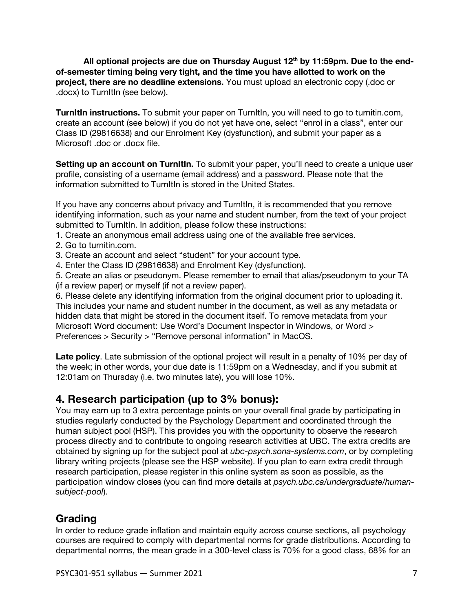All optional projects are due on Thursday August 12<sup>th</sup> by 11:59pm. Due to the end**of-semester timing being very tight, and the time you have allotted to work on the project, there are no deadline extensions.** You must upload an electronic copy (.doc or .docx) to TurnItIn (see below).

**TurnItIn instructions.** To submit your paper on TurnItIn, you will need to go to turnitin.com, create an account (see below) if you do not yet have one, select "enrol in a class", enter our Class ID (29816638) and our Enrolment Key (dysfunction), and submit your paper as a Microsoft .doc or .docx file.

**Setting up an account on TurnItIn.** To submit your paper, you'll need to create a unique user profile, consisting of a username (email address) and a password. Please note that the information submitted to TurnItIn is stored in the United States.

If you have any concerns about privacy and TurnItIn, it is recommended that you remove identifying information, such as your name and student number, from the text of your project submitted to TurnItIn. In addition, please follow these instructions:

1. Create an anonymous email address using one of the available free services.

- 2. Go to turnitin.com.
- 3. Create an account and select "student" for your account type.
- 4. Enter the Class ID (29816638) and Enrolment Key (dysfunction).

5. Create an alias or pseudonym. Please remember to email that alias/pseudonym to your TA (if a review paper) or myself (if not a review paper).

6. Please delete any identifying information from the original document prior to uploading it. This includes your name and student number in the document, as well as any metadata or hidden data that might be stored in the document itself. To remove metadata from your Microsoft Word document: Use Word's Document Inspector in Windows, or Word > Preferences > Security > "Remove personal information" in MacOS.

**Late policy**. Late submission of the optional project will result in a penalty of 10% per day of the week; in other words, your due date is 11:59pm on a Wednesday, and if you submit at 12:01am on Thursday (i.e. two minutes late), you will lose 10%.

## **4. Research participation (up to 3% bonus):**

You may earn up to 3 extra percentage points on your overall final grade by participating in studies regularly conducted by the Psychology Department and coordinated through the human subject pool (HSP). This provides you with the opportunity to observe the research process directly and to contribute to ongoing research activities at UBC. The extra credits are obtained by signing up for the subject pool at *ubc-psych.sona-systems.com*, or by completing library writing projects (please see the HSP website). If you plan to earn extra credit through research participation, please register in this online system as soon as possible, as the participation window closes (you can find more details at *psych.ubc.ca/undergraduate/humansubject-pool*).

## **Grading**

In order to reduce grade inflation and maintain equity across course sections, all psychology courses are required to comply with departmental norms for grade distributions. According to departmental norms, the mean grade in a 300-level class is 70% for a good class, 68% for an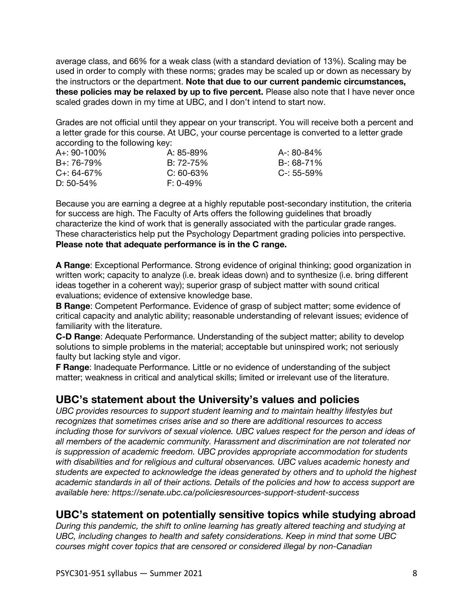average class, and 66% for a weak class (with a standard deviation of 13%). Scaling may be used in order to comply with these norms; grades may be scaled up or down as necessary by the instructors or the department. **Note that due to our current pandemic circumstances, these policies may be relaxed by up to five percent.** Please also note that I have never once scaled grades down in my time at UBC, and I don't intend to start now.

Grades are not official until they appear on your transcript. You will receive both a percent and a letter grade for this course. At UBC, your course percentage is converted to a letter grade according to the following key:

| A+: 90-100%      | A: 85-89%   | A-: 80-84%      |
|------------------|-------------|-----------------|
| B+: 76-79%       | $B: 72-75%$ | B-: 68-71%      |
| $C_{+}$ : 64-67% | $C: 60-63%$ | $C - 55 - 59\%$ |
| D: 50-54%        | $F: 0-49\%$ |                 |

Because you are earning a degree at a highly reputable post-secondary institution, the criteria for success are high. The Faculty of Arts offers the following guidelines that broadly characterize the kind of work that is generally associated with the particular grade ranges. These characteristics help put the Psychology Department grading policies into perspective. **Please note that adequate performance is in the C range.**

**A Range**: Exceptional Performance. Strong evidence of original thinking; good organization in written work; capacity to analyze (i.e. break ideas down) and to synthesize (i.e. bring different ideas together in a coherent way); superior grasp of subject matter with sound critical evaluations; evidence of extensive knowledge base.

**B Range**: Competent Performance. Evidence of grasp of subject matter; some evidence of critical capacity and analytic ability; reasonable understanding of relevant issues; evidence of familiarity with the literature.

**C-D Range**: Adequate Performance. Understanding of the subject matter; ability to develop solutions to simple problems in the material; acceptable but uninspired work; not seriously faulty but lacking style and vigor.

**F Range**: Inadequate Performance. Little or no evidence of understanding of the subject matter; weakness in critical and analytical skills; limited or irrelevant use of the literature.

## **UBC's statement about the University's values and policies**

*UBC provides resources to support student learning and to maintain healthy lifestyles but recognizes that sometimes crises arise and so there are additional resources to access including those for survivors of sexual violence. UBC values respect for the person and ideas of all members of the academic community. Harassment and discrimination are not tolerated nor is suppression of academic freedom. UBC provides appropriate accommodation for students with disabilities and for religious and cultural observances. UBC values academic honesty and students are expected to acknowledge the ideas generated by others and to uphold the highest academic standards in all of their actions. Details of the policies and how to access support are available here: https://senate.ubc.ca/policiesresources-support-student-success*

## **UBC's statement on potentially sensitive topics while studying abroad**

*During this pandemic, the shift to online learning has greatly altered teaching and studying at UBC, including changes to health and safety considerations. Keep in mind that some UBC courses might cover topics that are censored or considered illegal by non-Canadian*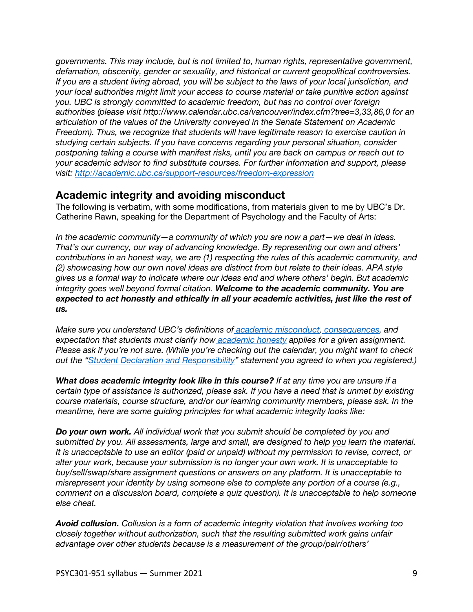*governments. This may include, but is not limited to, human rights, representative government, defamation, obscenity, gender or sexuality, and historical or current geopolitical controversies. If you are a student living abroad, you will be subject to the laws of your local jurisdiction, and your local authorities might limit your access to course material or take punitive action against you. UBC is strongly committed to academic freedom, but has no control over foreign authorities (please visit http://www.calendar.ubc.ca/vancouver/index.cfm?tree=3,33,86,0 for an articulation of the values of the University conveyed in the Senate Statement on Academic Freedom). Thus, we recognize that students will have legitimate reason to exercise caution in studying certain subjects. If you have concerns regarding your personal situation, consider postponing taking a course with manifest risks, until you are back on campus or reach out to your academic advisor to find substitute courses. For further information and support, please visit: http://academic.ubc.ca/support-resources/freedom-expression*

## **Academic integrity and avoiding misconduct**

The following is verbatim, with some modifications, from materials given to me by UBC's Dr. Catherine Rawn, speaking for the Department of Psychology and the Faculty of Arts:

*In the academic community—a community of which you are now a part—we deal in ideas. That's our currency, our way of advancing knowledge. By representing our own and others' contributions in an honest way, we are (1) respecting the rules of this academic community, and (2) showcasing how our own novel ideas are distinct from but relate to their ideas. APA style gives us a formal way to indicate where our ideas end and where others' begin. But academic integrity goes well beyond formal citation. Welcome to the academic community. You are expected to act honestly and ethically in all your academic activities, just like the rest of us.*

*Make sure you understand UBC's definitions of academic misconduct, consequences, and expectation that students must clarify how academic honesty applies for a given assignment. Please ask if you're not sure. (While you're checking out the calendar, you might want to check out the "Student Declaration and Responsibility" statement you agreed to when you registered.)*

*What does academic integrity look like in this course? If at any time you are unsure if a certain type of assistance is authorized, please ask. If you have a need that is unmet by existing course materials, course structure, and/or our learning community members, please ask. In the meantime, here are some guiding principles for what academic integrity looks like:*

*Do your own work. All individual work that you submit should be completed by you and submitted by you. All assessments, large and small, are designed to help you learn the material. It is unacceptable to use an editor (paid or unpaid) without my permission to revise, correct, or alter your work, because your submission is no longer your own work. It is unacceptable to buy/sell/swap/share assignment questions or answers on any platform. It is unacceptable to misrepresent your identity by using someone else to complete any portion of a course (e.g., comment on a discussion board, complete a quiz question). It is unacceptable to help someone else cheat.*

*Avoid collusion. Collusion is a form of academic integrity violation that involves working too closely together without authorization, such that the resulting submitted work gains unfair advantage over other students because is a measurement of the group/pair/others'*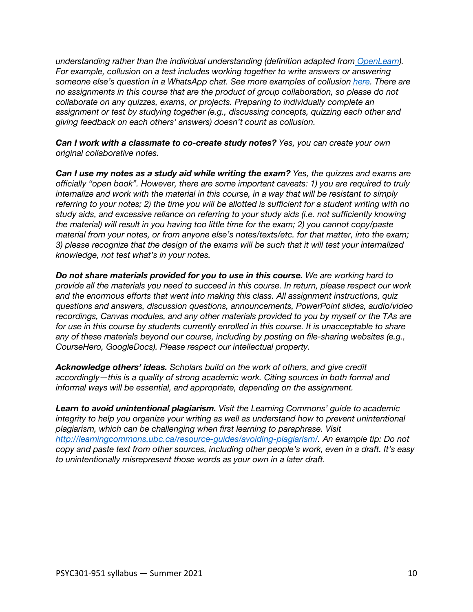*understanding rather than the individual understanding (definition adapted from OpenLearn). For example, collusion on a test includes working together to write answers or answering someone else's question in a WhatsApp chat. See more examples of collusion here. There are no assignments in this course that are the product of group collaboration, so please do not collaborate on any quizzes, exams, or projects. Preparing to individually complete an assignment or test by studying together (e.g., discussing concepts, quizzing each other and giving feedback on each others' answers) doesn't count as collusion.*

*Can I work with a classmate to co-create study notes? Yes, you can create your own original collaborative notes.*

*Can I use my notes as a study aid while writing the exam? Yes, the quizzes and exams are officially "open book". However, there are some important caveats: 1) you are required to truly internalize and work with the material in this course, in a way that will be resistant to simply referring to your notes; 2) the time you will be allotted is sufficient for a student writing with no study aids, and excessive reliance on referring to your study aids (i.e. not sufficiently knowing the material) will result in you having too little time for the exam; 2) you cannot copy/paste material from your notes, or from anyone else's notes/texts/etc. for that matter, into the exam; 3) please recognize that the design of the exams will be such that it will test your internalized knowledge, not test what's in your notes.*

*Do not share materials provided for you to use in this course. We are working hard to provide all the materials you need to succeed in this course. In return, please respect our work and the enormous efforts that went into making this class. All assignment instructions, quiz questions and answers, discussion questions, announcements, PowerPoint slides, audio/video recordings, Canvas modules, and any other materials provided to you by myself or the TAs are*  for use in this course by students currently enrolled in this course. It is unacceptable to share *any of these materials beyond our course, including by posting on file-sharing websites (e.g., CourseHero, GoogleDocs). Please respect our intellectual property.*

*Acknowledge others' ideas. Scholars build on the work of others, and give credit accordingly—this is a quality of strong academic work. Citing sources in both formal and informal ways will be essential, and appropriate, depending on the assignment.*

*Learn to avoid unintentional plagiarism. Visit the Learning Commons' guide to academic integrity to help you organize your writing as well as understand how to prevent unintentional plagiarism, which can be challenging when first learning to paraphrase. Visit http://learningcommons.ubc.ca/resource-guides/avoiding-plagiarism/. An example tip: Do not copy and paste text from other sources, including other people's work, even in a draft. It's easy to unintentionally misrepresent those words as your own in a later draft.*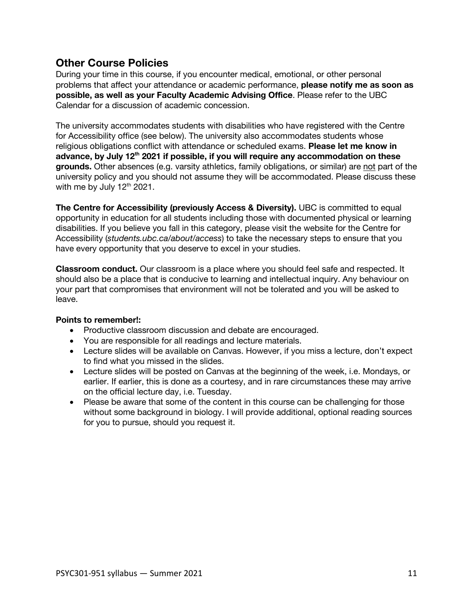## **Other Course Policies**

During your time in this course, if you encounter medical, emotional, or other personal problems that affect your attendance or academic performance, **please notify me as soon as possible, as well as your Faculty Academic Advising Office**. Please refer to the UBC Calendar for a discussion of academic concession.

The university accommodates students with disabilities who have registered with the Centre for Accessibility office (see below). The university also accommodates students whose religious obligations conflict with attendance or scheduled exams. **Please let me know in advance, by July 12th 2021 if possible, if you will require any accommodation on these grounds.** Other absences (e.g. varsity athletics, family obligations, or similar) are not part of the university policy and you should not assume they will be accommodated. Please discuss these with me by July 12<sup>th</sup> 2021.

**The Centre for Accessibility (previously Access & Diversity).** UBC is committed to equal opportunity in education for all students including those with documented physical or learning disabilities. If you believe you fall in this category, please visit the website for the Centre for Accessibility (*students.ubc.ca/about/access*) to take the necessary steps to ensure that you have every opportunity that you deserve to excel in your studies.

**Classroom conduct.** Our classroom is a place where you should feel safe and respected. It should also be a place that is conducive to learning and intellectual inquiry. Any behaviour on your part that compromises that environment will not be tolerated and you will be asked to leave.

## **Points to remember!:**

- Productive classroom discussion and debate are encouraged.
- You are responsible for all readings and lecture materials.
- Lecture slides will be available on Canvas. However, if you miss a lecture, don't expect to find what you missed in the slides.
- Lecture slides will be posted on Canvas at the beginning of the week, i.e. Mondays, or earlier. If earlier, this is done as a courtesy, and in rare circumstances these may arrive on the official lecture day, i.e. Tuesday.
- Please be aware that some of the content in this course can be challenging for those without some background in biology. I will provide additional, optional reading sources for you to pursue, should you request it.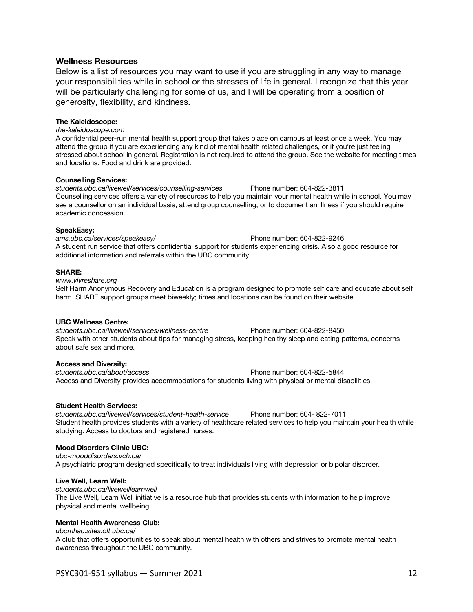### **Wellness Resources**

Below is a list of resources you may want to use if you are struggling in any way to manage your responsibilities while in school or the stresses of life in general. I recognize that this year will be particularly challenging for some of us, and I will be operating from a position of generosity, flexibility, and kindness.

### **The Kaleidoscope:**

*the-kaleidoscope.com* 

A confidential peer-run mental health support group that takes place on campus at least once a week. You may attend the group if you are experiencing any kind of mental health related challenges, or if you're just feeling stressed about school in general. Registration is not required to attend the group. See the website for meeting times and locations. Food and drink are provided.

#### **Counselling Services:**

*students.ubc.ca/livewell/services/counselling-services* Phone number: 604-822-3811 Counselling services offers a variety of resources to help you maintain your mental health while in school. You may see a counsellor on an individual basis, attend group counselling, or to document an illness if you should require academic concession.

#### **SpeakEasy:**

*ams.ubc.ca/services/speakeasy/* Phone number: 604-822-9246 A student run service that offers confidential support for students experiencing crisis. Also a good resource for additional information and referrals within the UBC community.

#### **SHARE:**

*www.vivreshare.org*  Self Harm Anonymous Recovery and Education is a program designed to promote self care and educate about self harm. SHARE support groups meet biweekly; times and locations can be found on their website.

#### **UBC Wellness Centre:**

*students.ubc.ca/livewell/services/wellness-centre* Phone number: 604-822-8450 Speak with other students about tips for managing stress, keeping healthy sleep and eating patterns, concerns about safe sex and more.

### **Access and Diversity:**

*students.ubc.ca/about/access* Phone number: 604-822-5844 Access and Diversity provides accommodations for students living with physical or mental disabilities.

### **Student Health Services:**

*students.ubc.ca/livewell/services/student-health-service* Phone number: 604- 822-7011 Student health provides students with a variety of healthcare related services to help you maintain your health while studying. Access to doctors and registered nurses.

### **Mood Disorders Clinic UBC:**

*ubc-mooddisorders.vch.ca/*  A psychiatric program designed specifically to treat individuals living with depression or bipolar disorder.

### **Live Well, Learn Well:**

*students.ubc.ca/livewelllearnwell*  The Live Well, Learn Well initiative is a resource hub that provides students with information to help improve physical and mental wellbeing.

### **Mental Health Awareness Club:**

*ubcmhac.sites.olt.ubc.ca/* 

A club that offers opportunities to speak about mental health with others and strives to promote mental health awareness throughout the UBC community.